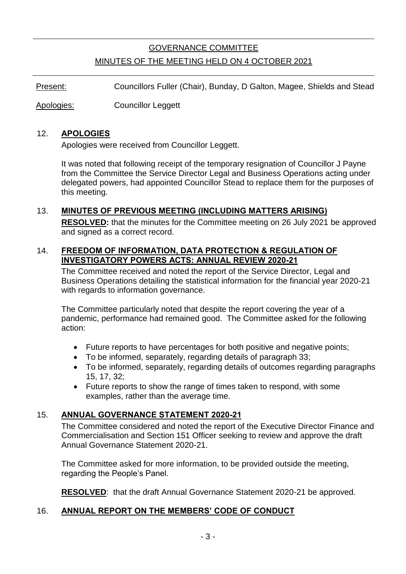# GOVERNANCE COMMITTEE MINUTES OF THE MEETING HELD ON 4 OCTOBER 2021

Present: Councillors Fuller (Chair), Bunday, D Galton, Magee, Shields and Stead

Apologies: Councillor Leggett

#### 12. **APOLOGIES**

Apologies were received from Councillor Leggett.

It was noted that following receipt of the temporary resignation of Councillor J Payne from the Committee the Service Director Legal and Business Operations acting under delegated powers, had appointed Councillor Stead to replace them for the purposes of this meeting.

#### 13. **MINUTES OF PREVIOUS MEETING (INCLUDING MATTERS ARISING)**

**RESOLVED:** that the minutes for the Committee meeting on 26 July 2021 be approved and signed as a correct record.

#### 14. **FREEDOM OF INFORMATION, DATA PROTECTION & REGULATION OF INVESTIGATORY POWERS ACTS: ANNUAL REVIEW 2020-21**

The Committee received and noted the report of the Service Director, Legal and Business Operations detailing the statistical information for the financial year 2020-21 with regards to information governance.

The Committee particularly noted that despite the report covering the year of a pandemic, performance had remained good. The Committee asked for the following action:

- Future reports to have percentages for both positive and negative points;
- To be informed, separately, regarding details of paragraph 33;
- To be informed, separately, regarding details of outcomes regarding paragraphs 15, 17, 32;
- Future reports to show the range of times taken to respond, with some examples, rather than the average time.

#### 15. **ANNUAL GOVERNANCE STATEMENT 2020-21**

The Committee considered and noted the report of the Executive Director Finance and Commercialisation and Section 151 Officer seeking to review and approve the draft Annual Governance Statement 2020-21.

The Committee asked for more information, to be provided outside the meeting, regarding the People's Panel.

**RESOLVED**: that the draft Annual Governance Statement 2020-21 be approved.

#### 16. **ANNUAL REPORT ON THE MEMBERS' CODE OF CONDUCT**